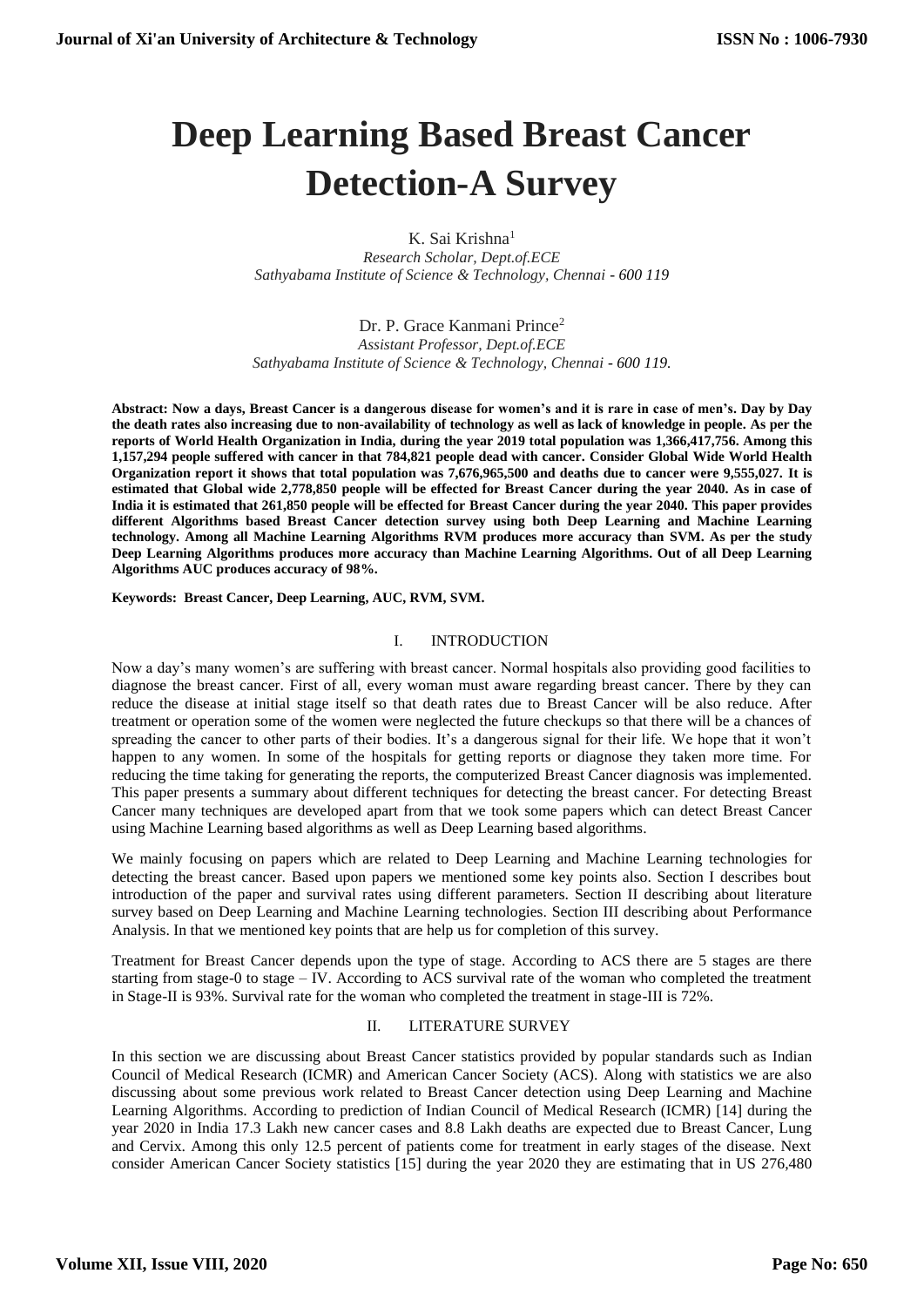# **Deep Learning Based Breast Cancer Detection-A Survey**

K. Sai Krishna<sup>1</sup> *Research Scholar, Dept.of.ECE Sathyabama Institute of Science & Technology, Chennai - 600 119*

Dr. P. Grace Kanmani Prince<sup>2</sup> *Assistant Professor, Dept.of.ECE Sathyabama Institute of Science & Technology, Chennai - 600 119.*

**Abstract: Now a days, Breast Cancer is a dangerous disease for women's and it is rare in case of men's. Day by Day the death rates also increasing due to non-availability of technology as well as lack of knowledge in people. As per the reports of World Health Organization in India, during the year 2019 total population was 1,366,417,756. Among this 1,157,294 people suffered with cancer in that 784,821 people dead with cancer. Consider Global Wide World Health Organization report it shows that total population was 7,676,965,500 and deaths due to cancer were 9,555,027. It is estimated that Global wide 2,778,850 people will be effected for Breast Cancer during the year 2040. As in case of India it is estimated that 261,850 people will be effected for Breast Cancer during the year 2040. This paper provides different Algorithms based Breast Cancer detection survey using both Deep Learning and Machine Learning technology. Among all Machine Learning Algorithms RVM produces more accuracy than SVM. As per the study Deep Learning Algorithms produces more accuracy than Machine Learning Algorithms. Out of all Deep Learning Algorithms AUC produces accuracy of 98%.**

**Keywords: Breast Cancer, Deep Learning, AUC, RVM, SVM.**

#### I. INTRODUCTION

Now a day's many women's are suffering with breast cancer. Normal hospitals also providing good facilities to diagnose the breast cancer. First of all, every woman must aware regarding breast cancer. There by they can reduce the disease at initial stage itself so that death rates due to Breast Cancer will be also reduce. After treatment or operation some of the women were neglected the future checkups so that there will be a chances of spreading the cancer to other parts of their bodies. It's a dangerous signal for their life. We hope that it won't happen to any women. In some of the hospitals for getting reports or diagnose they taken more time. For reducing the time taking for generating the reports, the computerized Breast Cancer diagnosis was implemented. This paper presents a summary about different techniques for detecting the breast cancer. For detecting Breast Cancer many techniques are developed apart from that we took some papers which can detect Breast Cancer using Machine Learning based algorithms as well as Deep Learning based algorithms.

We mainly focusing on papers which are related to Deep Learning and Machine Learning technologies for detecting the breast cancer. Based upon papers we mentioned some key points also. Section I describes bout introduction of the paper and survival rates using different parameters. Section II describing about literature survey based on Deep Learning and Machine Learning technologies. Section III describing about Performance Analysis. In that we mentioned key points that are help us for completion of this survey.

Treatment for Breast Cancer depends upon the type of stage. According to ACS there are 5 stages are there starting from stage-0 to stage – IV. According to ACS survival rate of the woman who completed the treatment in Stage-II is 93%. Survival rate for the woman who completed the treatment in stage-III is 72%.

## II. LITERATURE SURVEY

In this section we are discussing about Breast Cancer statistics provided by popular standards such as Indian Council of Medical Research (ICMR) and American Cancer Society (ACS). Along with statistics we are also discussing about some previous work related to Breast Cancer detection using Deep Learning and Machine Learning Algorithms. According to prediction of Indian Council of Medical Research (ICMR) [14] during the year 2020 in India 17.3 Lakh new cancer cases and 8.8 Lakh deaths are expected due to Breast Cancer, Lung and Cervix. Among this only 12.5 percent of patients come for treatment in early stages of the disease. Next consider American Cancer Society statistics [15] during the year 2020 they are estimating that in US 276,480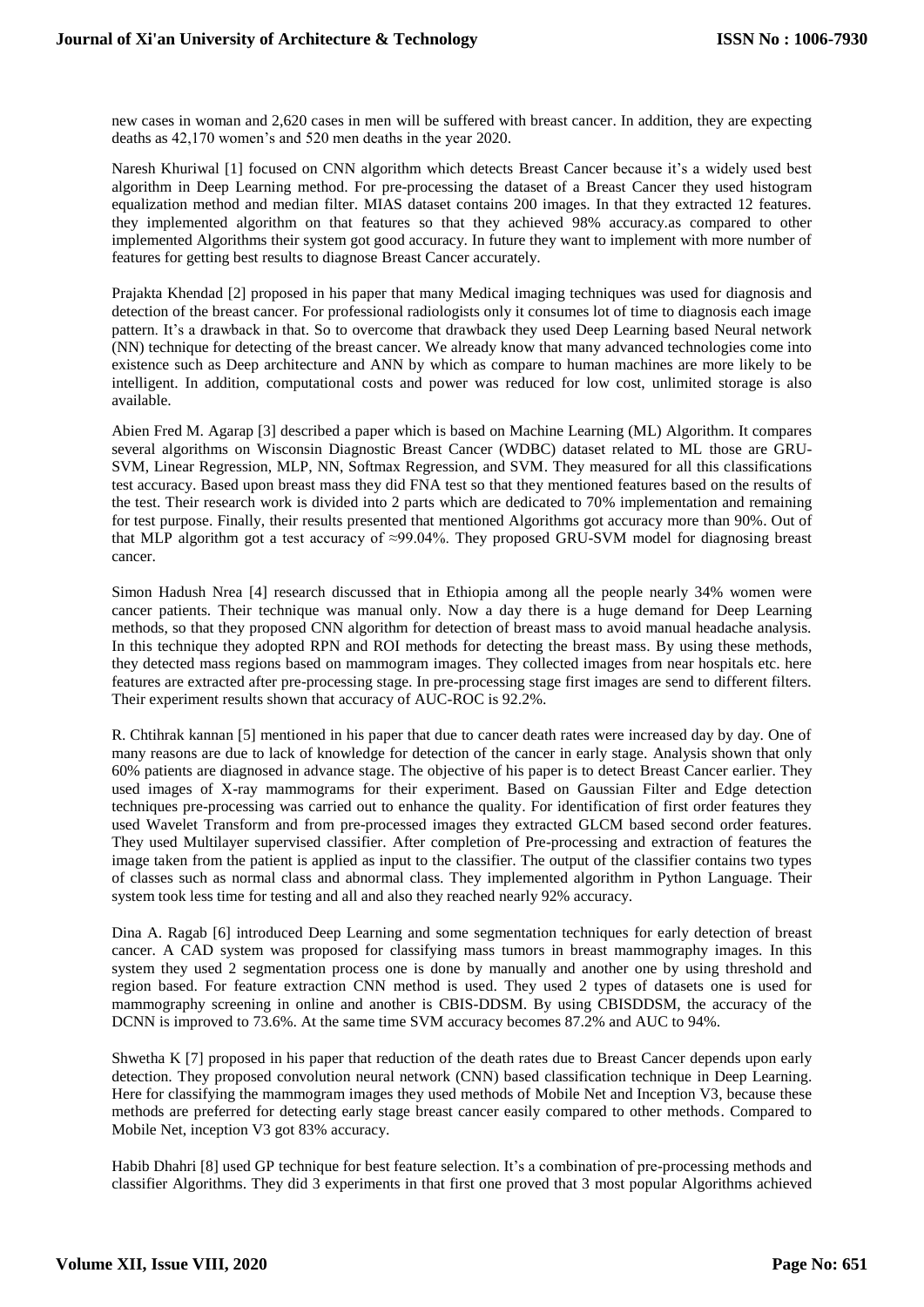new cases in woman and 2,620 cases in men will be suffered with breast cancer. In addition, they are expecting deaths as 42,170 women's and 520 men deaths in the year 2020.

Naresh Khuriwal [1] focused on CNN algorithm which detects Breast Cancer because it's a widely used best algorithm in Deep Learning method. For pre-processing the dataset of a Breast Cancer they used histogram equalization method and median filter. MIAS dataset contains 200 images. In that they extracted 12 features. they implemented algorithm on that features so that they achieved 98% accuracy.as compared to other implemented Algorithms their system got good accuracy. In future they want to implement with more number of features for getting best results to diagnose Breast Cancer accurately.

Prajakta Khendad [2] proposed in his paper that many Medical imaging techniques was used for diagnosis and detection of the breast cancer. For professional radiologists only it consumes lot of time to diagnosis each image pattern. It's a drawback in that. So to overcome that drawback they used Deep Learning based Neural network (NN) technique for detecting of the breast cancer. We already know that many advanced technologies come into existence such as Deep architecture and ANN by which as compare to human machines are more likely to be intelligent. In addition, computational costs and power was reduced for low cost, unlimited storage is also available.

Abien Fred M. Agarap [3] described a paper which is based on Machine Learning (ML) Algorithm. It compares several algorithms on Wisconsin Diagnostic Breast Cancer (WDBC) dataset related to ML those are GRU-SVM, Linear Regression, MLP, NN, Softmax Regression, and SVM. They measured for all this classifications test accuracy. Based upon breast mass they did FNA test so that they mentioned features based on the results of the test. Their research work is divided into 2 parts which are dedicated to 70% implementation and remaining for test purpose. Finally, their results presented that mentioned Algorithms got accuracy more than 90%. Out of that MLP algorithm got a test accuracy of ≈99.04%. They proposed GRU-SVM model for diagnosing breast cancer.

Simon Hadush Nrea [4] research discussed that in Ethiopia among all the people nearly 34% women were cancer patients. Their technique was manual only. Now a day there is a huge demand for Deep Learning methods, so that they proposed CNN algorithm for detection of breast mass to avoid manual headache analysis. In this technique they adopted RPN and ROI methods for detecting the breast mass. By using these methods, they detected mass regions based on mammogram images. They collected images from near hospitals etc. here features are extracted after pre-processing stage. In pre-processing stage first images are send to different filters. Their experiment results shown that accuracy of AUC-ROC is 92.2%.

R. Chtihrak kannan [5] mentioned in his paper that due to cancer death rates were increased day by day. One of many reasons are due to lack of knowledge for detection of the cancer in early stage. Analysis shown that only 60% patients are diagnosed in advance stage. The objective of his paper is to detect Breast Cancer earlier. They used images of X-ray mammograms for their experiment. Based on Gaussian Filter and Edge detection techniques pre-processing was carried out to enhance the quality. For identification of first order features they used Wavelet Transform and from pre-processed images they extracted GLCM based second order features. They used Multilayer supervised classifier. After completion of Pre-processing and extraction of features the image taken from the patient is applied as input to the classifier. The output of the classifier contains two types of classes such as normal class and abnormal class. They implemented algorithm in Python Language. Their system took less time for testing and all and also they reached nearly 92% accuracy.

Dina A. Ragab [6] introduced Deep Learning and some segmentation techniques for early detection of breast cancer. A CAD system was proposed for classifying mass tumors in breast mammography images. In this system they used 2 segmentation process one is done by manually and another one by using threshold and region based. For feature extraction CNN method is used. They used 2 types of datasets one is used for mammography screening in online and another is CBIS-DDSM. By using CBISDDSM, the accuracy of the DCNN is improved to 73.6%. At the same time SVM accuracy becomes 87.2% and AUC to 94%.

Shwetha K [7] proposed in his paper that reduction of the death rates due to Breast Cancer depends upon early detection. They proposed convolution neural network (CNN) based classification technique in Deep Learning. Here for classifying the mammogram images they used methods of Mobile Net and Inception V3, because these methods are preferred for detecting early stage breast cancer easily compared to other methods. Compared to Mobile Net, inception V3 got 83% accuracy.

Habib Dhahri [8] used GP technique for best feature selection. It's a combination of pre-processing methods and classifier Algorithms. They did 3 experiments in that first one proved that 3 most popular Algorithms achieved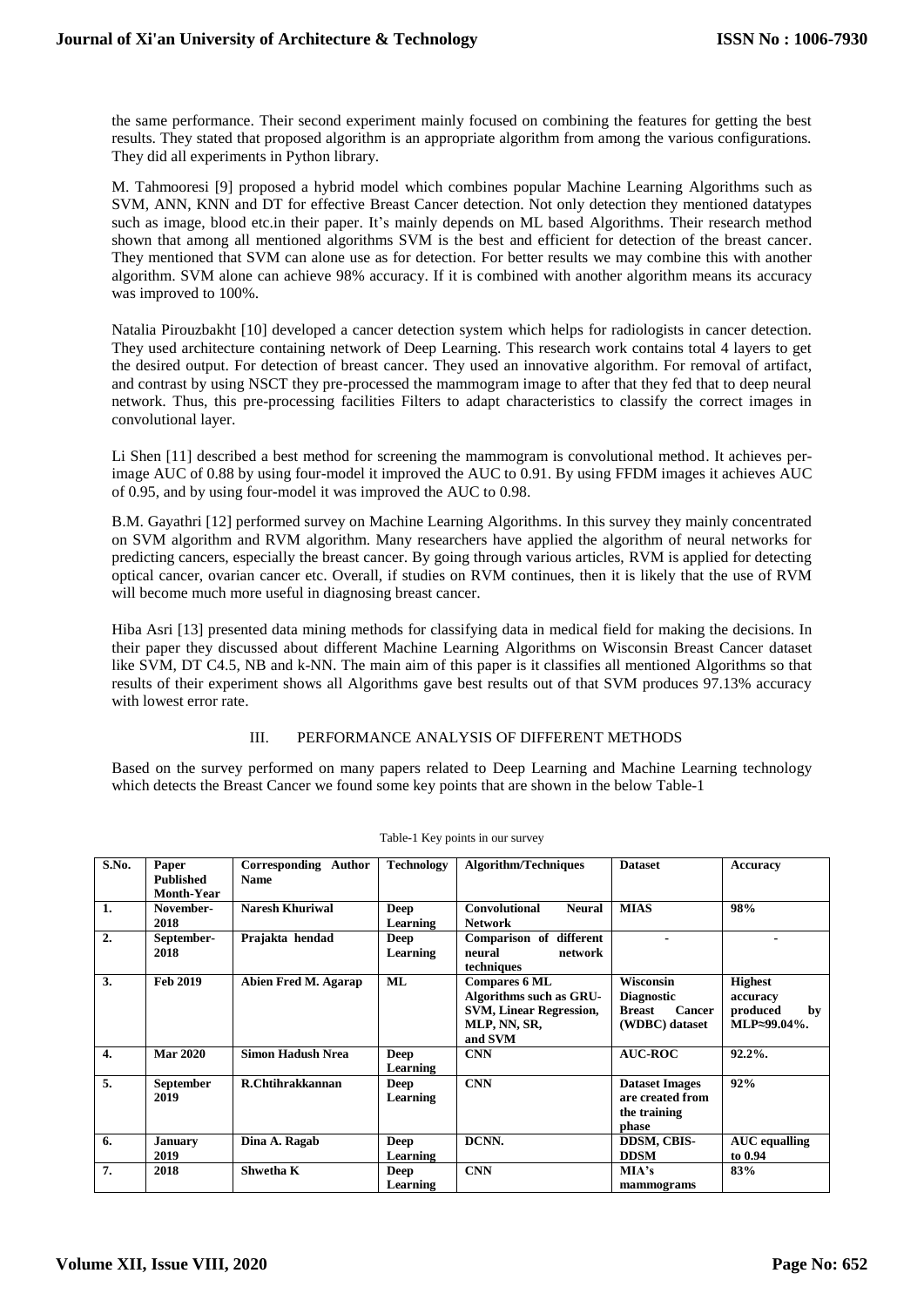the same performance. Their second experiment mainly focused on combining the features for getting the best results. They stated that proposed algorithm is an appropriate algorithm from among the various configurations. They did all experiments in Python library.

M. Tahmooresi [9] proposed a hybrid model which combines popular Machine Learning Algorithms such as SVM, ANN, KNN and DT for effective Breast Cancer detection. Not only detection they mentioned datatypes such as image, blood etc.in their paper. It's mainly depends on ML based Algorithms. Their research method shown that among all mentioned algorithms SVM is the best and efficient for detection of the breast cancer. They mentioned that SVM can alone use as for detection. For better results we may combine this with another algorithm. SVM alone can achieve 98% accuracy. If it is combined with another algorithm means its accuracy was improved to 100%.

Natalia Pirouzbakht [10] developed a cancer detection system which helps for radiologists in cancer detection. They used architecture containing network of Deep Learning. This research work contains total 4 layers to get the desired output. For detection of breast cancer. They used an innovative algorithm. For removal of artifact, and contrast by using NSCT they pre-processed the mammogram image to after that they fed that to deep neural network. Thus, this pre-processing facilities Filters to adapt characteristics to classify the correct images in convolutional layer.

Li Shen [11] described a best method for screening the mammogram is convolutional method. It achieves perimage AUC of 0.88 by using four-model it improved the AUC to 0.91. By using FFDM images it achieves AUC of 0.95, and by using four-model it was improved the AUC to 0.98.

B.M. Gayathri [12] performed survey on Machine Learning Algorithms. In this survey they mainly concentrated on SVM algorithm and RVM algorithm. Many researchers have applied the algorithm of neural networks for predicting cancers, especially the breast cancer. By going through various articles, RVM is applied for detecting optical cancer, ovarian cancer etc. Overall, if studies on RVM continues, then it is likely that the use of RVM will become much more useful in diagnosing breast cancer.

Hiba Asri [13] presented data mining methods for classifying data in medical field for making the decisions. In their paper they discussed about different Machine Learning Algorithms on Wisconsin Breast Cancer dataset like SVM, DT C4.5, NB and k-NN. The main aim of this paper is it classifies all mentioned Algorithms so that results of their experiment shows all Algorithms gave best results out of that SVM produces 97.13% accuracy with lowest error rate.

## III. PERFORMANCE ANALYSIS OF DIFFERENT METHODS

Based on the survey performed on many papers related to Deep Learning and Machine Learning technology which detects the Breast Cancer we found some key points that are shown in the below Table-1

| S.No.            | Paper             | Corresponding Author     | <b>Technology</b> | <b>Algorithm/Techniques</b>           | <b>Dataset</b>                 | Accuracy             |
|------------------|-------------------|--------------------------|-------------------|---------------------------------------|--------------------------------|----------------------|
|                  | <b>Published</b>  | <b>Name</b>              |                   |                                       |                                |                      |
|                  | <b>Month-Year</b> |                          |                   |                                       |                                |                      |
| 1.               | November-         | <b>Naresh Khuriwal</b>   | <b>Deep</b>       | <b>Convolutional</b><br><b>Neural</b> | <b>MIAS</b>                    | 98%                  |
|                  | 2018              |                          | Learning          | <b>Network</b>                        |                                |                      |
| 2.               | September-        | Prajakta hendad          | Deep              | Comparison of different               |                                |                      |
|                  | 2018              |                          | Learning          | neural<br>network                     |                                |                      |
|                  |                   |                          |                   | techniques                            |                                |                      |
| 3.               | <b>Feb 2019</b>   | Abien Fred M. Agarap     | ML                | <b>Compares 6 ML</b>                  | <b>Wisconsin</b>               | <b>Highest</b>       |
|                  |                   |                          |                   | Algorithms such as GRU-               | <b>Diagnostic</b>              | accuracy             |
|                  |                   |                          |                   | <b>SVM, Linear Regression,</b>        | <b>Cancer</b><br><b>Breast</b> | produced<br>by       |
|                  |                   |                          |                   | MLP, NN, SR,                          | (WDBC) dataset                 | MLP≈99.04%.          |
|                  |                   |                          |                   | and SVM                               |                                |                      |
| $\overline{4}$ . | <b>Mar 2020</b>   | <b>Simon Hadush Nrea</b> | <b>Deep</b>       | <b>CNN</b>                            | <b>AUC-ROC</b>                 | 92.2%.               |
|                  |                   |                          | Learning          |                                       |                                |                      |
| 5.               | <b>September</b>  | R.Chtihrakkannan         | Deep              | <b>CNN</b>                            | <b>Dataset Images</b>          | 92%                  |
|                  | 2019              |                          | Learning          |                                       | are created from               |                      |
|                  |                   |                          |                   |                                       | the training                   |                      |
|                  |                   |                          |                   |                                       | phase                          |                      |
| 6.               | <b>January</b>    | Dina A. Ragab            | <b>Deep</b>       | DCNN.                                 | <b>DDSM, CBIS-</b>             | <b>AUC</b> equalling |
|                  | 2019              |                          | Learning          |                                       | <b>DDSM</b>                    | to 0.94              |
| 7.               | 2018              | Shwetha K                | Deep              | <b>CNN</b>                            | MA's                           | 83%                  |
|                  |                   |                          | Learning          |                                       | mammograms                     |                      |

Table-1 Key points in our survey